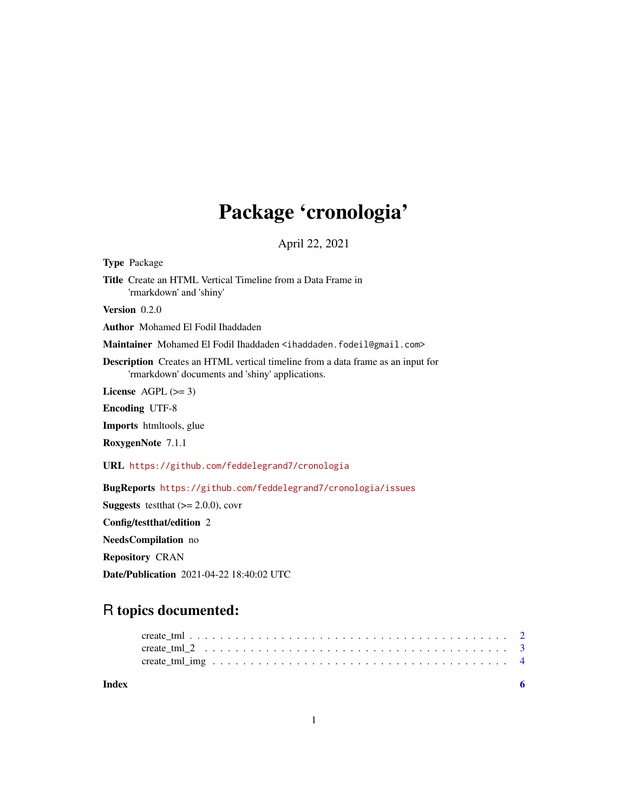## Package 'cronologia'

April 22, 2021

Type Package Title Create an HTML Vertical Timeline from a Data Frame in 'rmarkdown' and 'shiny' Version 0.2.0 Author Mohamed El Fodil Ihaddaden Maintainer Mohamed El Fodil Ihaddaden <ihaddaden.fodeil@gmail.com> Description Creates an HTML vertical timeline from a data frame as an input for 'rmarkdown' documents and 'shiny' applications. License  $AGPL (> = 3)$ Encoding UTF-8 Imports htmltools, glue RoxygenNote 7.1.1 URL <https://github.com/feddelegrand7/cronologia> BugReports <https://github.com/feddelegrand7/cronologia/issues> **Suggests** test that  $(>= 2.0.0)$ , cover Config/testthat/edition 2 NeedsCompilation no Repository CRAN Date/Publication 2021-04-22 18:40:02 UTC

### R topics documented:

| Index |  | -6 |
|-------|--|----|
|       |  |    |
|       |  |    |
|       |  |    |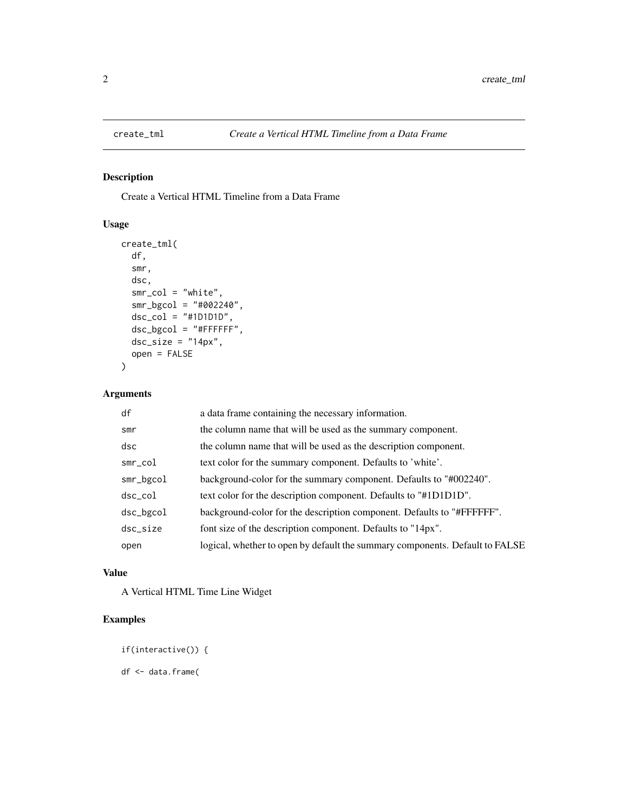<span id="page-1-0"></span>

#### Description

Create a Vertical HTML Timeline from a Data Frame

#### Usage

```
create_tml(
  df,
  smr,
  dsc,
  smr\_col = "white",smr_bgcol = "#002240",
  dsc_{col} = "#1D1D1D",
  dsc_bgcol = "#FFFFFF",
  dsc_size = "14px",
  open = FALSE
\mathcal{L}
```
#### Arguments

| a data frame containing the necessary information.                           |
|------------------------------------------------------------------------------|
| the column name that will be used as the summary component.                  |
| the column name that will be used as the description component.              |
| text color for the summary component. Defaults to 'white'.                   |
| background-color for the summary component. Defaults to "#002240".           |
| text color for the description component. Defaults to "#1D1D1D".             |
| background-color for the description component. Defaults to "#FFFFFF".       |
| font size of the description component. Defaults to "14px".                  |
| logical, whether to open by default the summary components. Default to FALSE |
|                                                                              |

#### Value

A Vertical HTML Time Line Widget

#### Examples

if(interactive()) {

df <- data.frame(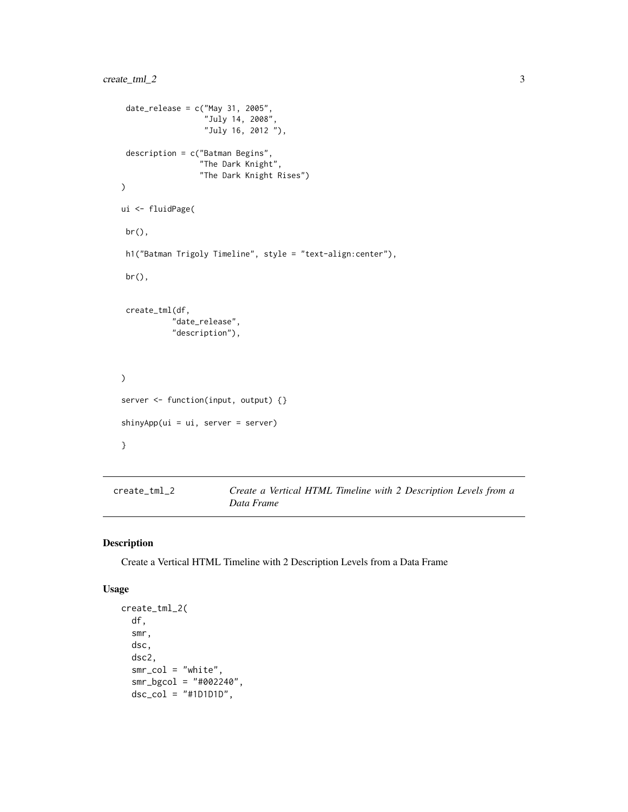```
date_release = c("May 31, 2005","July 14, 2008",
                   "July 16, 2012 "),
 description = c("Batman Begins",
                  "The Dark Knight",
                  "The Dark Knight Rises")
\mathcal{L}ui <- fluidPage(
 br(),
 h1("Batman Trigoly Timeline", style = "text-align:center"),
 br(),
 create_tml(df,
           "date_release",
           "description"),
\mathcal{L}server <- function(input, output) {}
shinyApp(ui = ui, server = server)
}
```
create\_tml\_2 *Create a Vertical HTML Timeline with 2 Description Levels from a Data Frame*

#### Description

Create a Vertical HTML Timeline with 2 Description Levels from a Data Frame

#### Usage

```
create_tml_2(
  df,
  smr,
  dsc,
  dsc2,
  smr\_col = "white",smr_bgcol = "#002240",
  dsc_{col} = "#1D1D1D",
```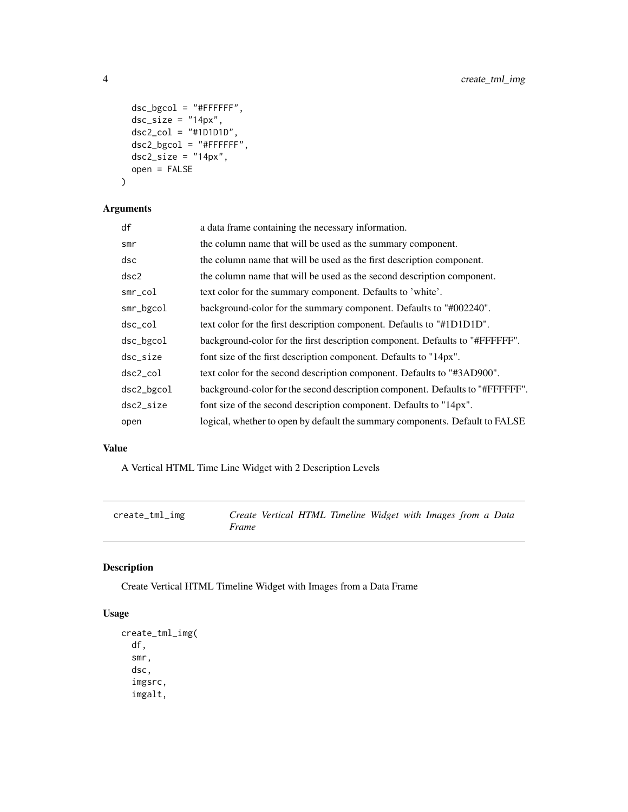```
dsc_bgcol = "#FFFFFF",
 dsc_size = "14px",
 dsc2_{col} = "#1D1D1D",
 dsc2_bgcol = "#FFFFFF",
 dsc2<sub>size</sub> = "14px",
 open = FALSE
)
```
#### Arguments

| df            | a data frame containing the necessary information.                            |
|---------------|-------------------------------------------------------------------------------|
| smr           | the column name that will be used as the summary component.                   |
| dsc           | the column name that will be used as the first description component.         |
| dsc2          | the column name that will be used as the second description component.        |
| $smr_{col}$   | text color for the summary component. Defaults to 'white'.                    |
| smr_bgcol     | background-color for the summary component. Defaults to "#002240".            |
| $dsc_{c}$ col | text color for the first description component. Defaults to "#1D1D1D".        |
| dsc_bgcol     | background-color for the first description component. Defaults to "#FFFFFF".  |
| dsc_size      | font size of the first description component. Defaults to "14px".             |
| $dsc2_{c0}$   | text color for the second description component. Defaults to "#3AD900".       |
| dsc2_bgcol    | background-color for the second description component. Defaults to "#FFFFFF". |
| dsc2_size     | font size of the second description component. Defaults to "14px".            |
| open          | logical, whether to open by default the summary components. Default to FALSE  |
|               |                                                                               |

#### Value

A Vertical HTML Time Line Widget with 2 Description Levels

| create_tml_img |       |  | Create Vertical HTML Timeline Widget with Images from a Data |  |  |  |
|----------------|-------|--|--------------------------------------------------------------|--|--|--|
|                | Frame |  |                                                              |  |  |  |

#### Description

Create Vertical HTML Timeline Widget with Images from a Data Frame

#### Usage

```
create_tml_img(
  df,
  smr,
 dsc,
  imgsrc,
  imgalt,
```
<span id="page-3-0"></span>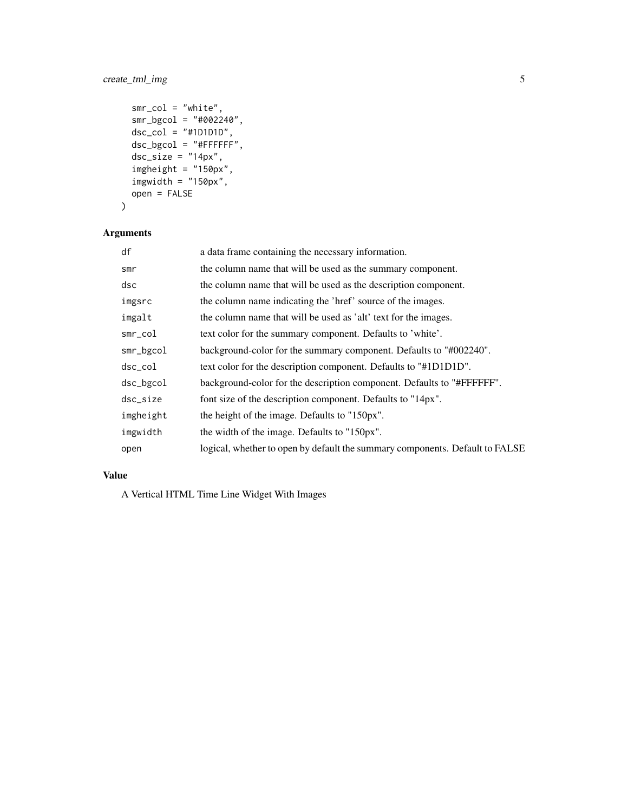#### create\_tml\_img 5

```
smr_col = "white",
smr_bgcol = "#002240",
dsc_{c}ol = "#1D1D1D",
dsc_bgcol = "HFFFFF",
dsc_size = "14px",
imgheight = "150px",
imgwidth = "150px",open = FALSE
```

```
)
```
#### Arguments

| df            | a data frame containing the necessary information.                           |
|---------------|------------------------------------------------------------------------------|
| smr           | the column name that will be used as the summary component.                  |
| dsc           | the column name that will be used as the description component.              |
| imgsrc        | the column name indicating the 'href' source of the images.                  |
| imgalt        | the column name that will be used as 'alt' text for the images.              |
| $smr$ _col    | text color for the summary component. Defaults to 'white'.                   |
| smr_bgcol     | background-color for the summary component. Defaults to "#002240".           |
| $dsc_{c}$ col | text color for the description component. Defaults to "#1D1D1D".             |
| dsc_bgcol     | background-color for the description component. Defaults to "#FFFFFF".       |
| dsc_size      | font size of the description component. Defaults to "14px".                  |
| imgheight     | the height of the image. Defaults to "150px".                                |
| imgwidth      | the width of the image. Defaults to "150px".                                 |
| open          | logical, whether to open by default the summary components. Default to FALSE |

#### Value

A Vertical HTML Time Line Widget With Images